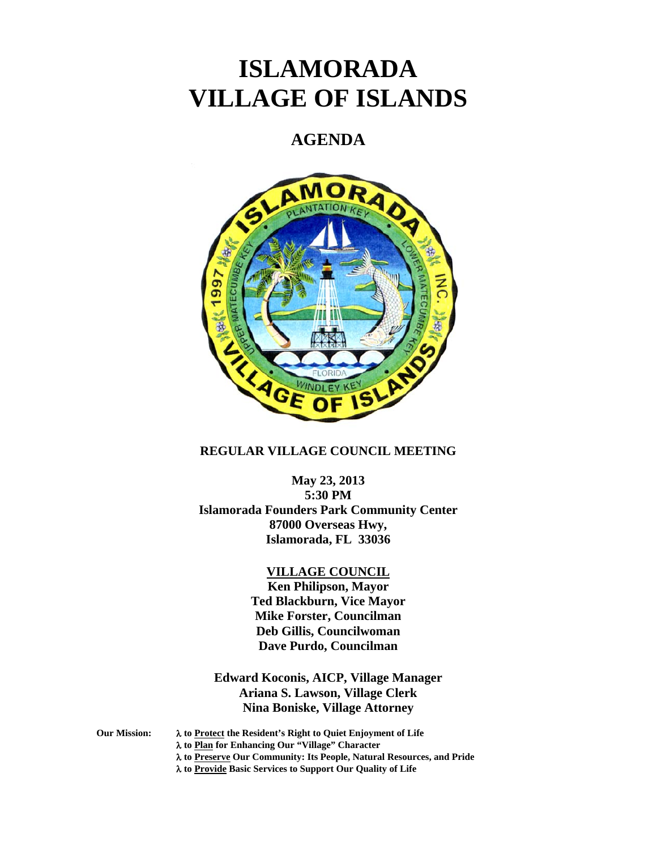# **ISLAMORADA VILLAGE OF ISLANDS**

# **AGENDA**



# **REGULAR VILLAGE COUNCIL MEETING**

**May 23, 2013 5:30 PM Islamorada Founders Park Community Center 87000 Overseas Hwy, Islamorada, FL 33036** 

#### **VILLAGE COUNCIL**

**Ken Philipson, Mayor Ted Blackburn, Vice Mayor Mike Forster, Councilman Deb Gillis, Councilwoman Dave Purdo, Councilman** 

**Edward Koconis, AICP, Village Manager Ariana S. Lawson, Village Clerk Nina Boniske, Village Attorney** 

**Our Mission: to Protect the Resident's Right to Quiet Enjoyment of Life to Plan for Enhancing Our "Village" Character to Preserve Our Community: Its People, Natural Resources, and Pride to Provide Basic Services to Support Our Quality of Life**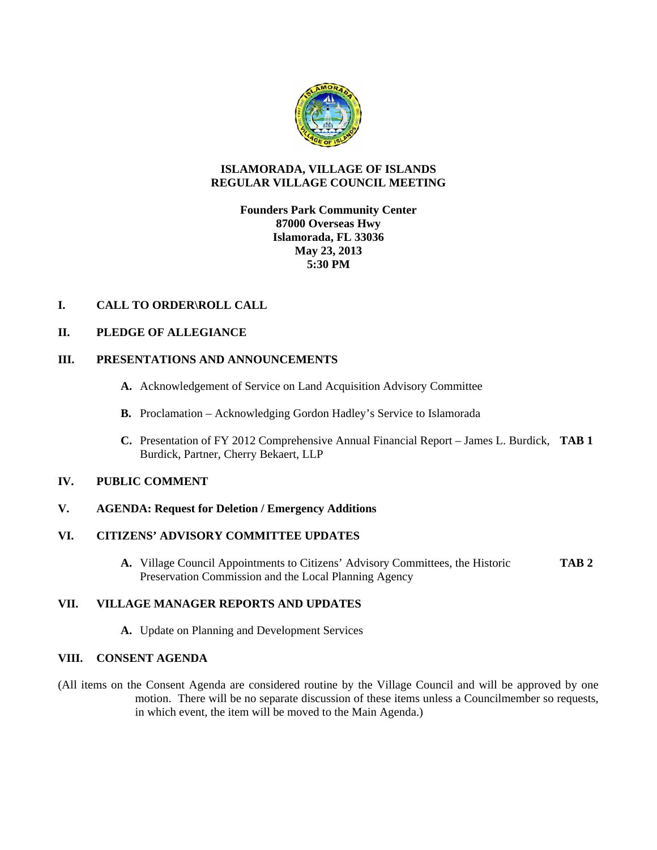

# **ISLAMORADA, VILLAGE OF ISLANDS REGULAR VILLAGE COUNCIL MEETING**

# **Founders Park Community Center 87000 Overseas Hwy Islamorada, FL 33036 May 23, 2013 5:30 PM**

# **I. CALL TO ORDER\ROLL CALL**

#### **II. PLEDGE OF ALLEGIANCE**

#### **III. PRESENTATIONS AND ANNOUNCEMENTS**

- **A.** Acknowledgement of Service on Land Acquisition Advisory Committee
- **B.** Proclamation Acknowledging Gordon Hadley's Service to Islamorada
- **C.** Presentation of FY 2012 Comprehensive Annual Financial Report James L. Burdick, **TAB 1** Burdick, Partner, Cherry Bekaert, LLP

#### **IV. PUBLIC COMMENT**

#### **V. AGENDA: Request for Deletion / Emergency Additions**

# **VI. CITIZENS' ADVISORY COMMITTEE UPDATES**

**A.** Village Council Appointments to Citizens' Advisory Committees, the Historic **TAB 2** Preservation Commission and the Local Planning Agency

#### **VII. VILLAGE MANAGER REPORTS AND UPDATES**

**A.** Update on Planning and Development Services

#### **VIII. CONSENT AGENDA**

(All items on the Consent Agenda are considered routine by the Village Council and will be approved by one motion. There will be no separate discussion of these items unless a Councilmember so requests, in which event, the item will be moved to the Main Agenda.)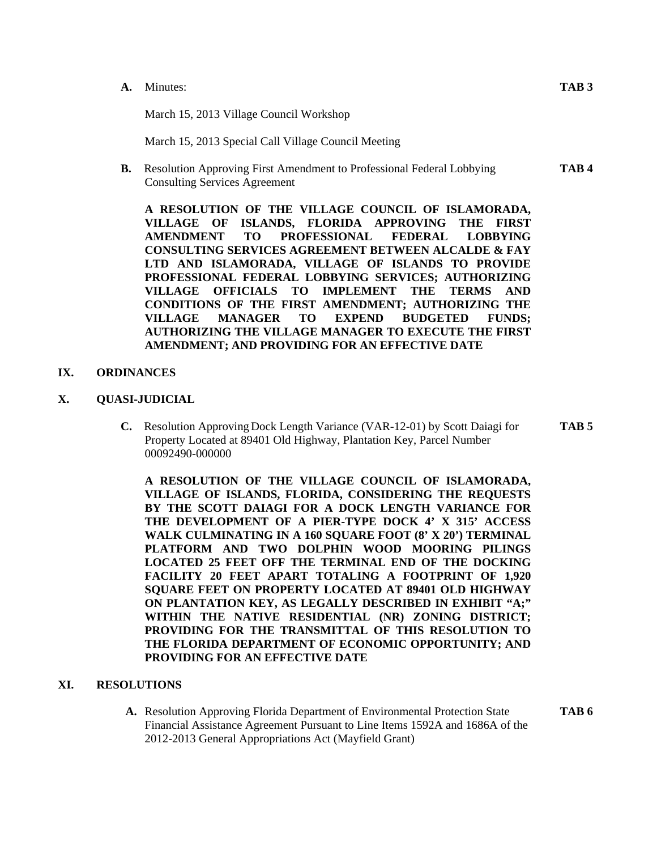#### **A.** Minutes: **TAB 3**

March 15, 2013 Village Council Workshop

March 15, 2013 Special Call Village Council Meeting

**B.** Resolution Approving First Amendment to Professional Federal Lobbying **TAB 4**  Consulting Services Agreement

**A RESOLUTION OF THE VILLAGE COUNCIL OF ISLAMORADA, VILLAGE OF ISLANDS, FLORIDA APPROVING THE FIRST AMENDMENT TO PROFESSIONAL FEDERAL LOBBYING CONSULTING SERVICES AGREEMENT BETWEEN ALCALDE & FAY LTD AND ISLAMORADA, VILLAGE OF ISLANDS TO PROVIDE PROFESSIONAL FEDERAL LOBBYING SERVICES; AUTHORIZING VILLAGE OFFICIALS TO IMPLEMENT THE TERMS AND CONDITIONS OF THE FIRST AMENDMENT; AUTHORIZING THE VILLAGE MANAGER TO EXPEND BUDGETED FUNDS; AUTHORIZING THE VILLAGE MANAGER TO EXECUTE THE FIRST AMENDMENT; AND PROVIDING FOR AN EFFECTIVE DATE** 

# **IX. ORDINANCES**

- **X. QUASI-JUDICIAL** 
	- **C.** Resolution Approving Dock Length Variance (VAR-12-01) by Scott Daiagi for **TAB 5**  Property Located at 89401 Old Highway, Plantation Key, Parcel Number 00092490-000000

**A RESOLUTION OF THE VILLAGE COUNCIL OF ISLAMORADA, VILLAGE OF ISLANDS, FLORIDA, CONSIDERING THE REQUESTS BY THE SCOTT DAIAGI FOR A DOCK LENGTH VARIANCE FOR THE DEVELOPMENT OF A PIER-TYPE DOCK 4' X 315' ACCESS WALK CULMINATING IN A 160 SQUARE FOOT (8' X 20') TERMINAL PLATFORM AND TWO DOLPHIN WOOD MOORING PILINGS LOCATED 25 FEET OFF THE TERMINAL END OF THE DOCKING FACILITY 20 FEET APART TOTALING A FOOTPRINT OF 1,920 SQUARE FEET ON PROPERTY LOCATED AT 89401 OLD HIGHWAY ON PLANTATION KEY, AS LEGALLY DESCRIBED IN EXHIBIT "A;" WITHIN THE NATIVE RESIDENTIAL (NR) ZONING DISTRICT; PROVIDING FOR THE TRANSMITTAL OF THIS RESOLUTION TO THE FLORIDA DEPARTMENT OF ECONOMIC OPPORTUNITY; AND PROVIDING FOR AN EFFECTIVE DATE** 

#### **XI. RESOLUTIONS**

**A.** Resolution Approving Florida Department of Environmental Protection State **TAB 6** Financial Assistance Agreement Pursuant to Line Items 1592A and 1686A of the 2012-2013 General Appropriations Act (Mayfield Grant)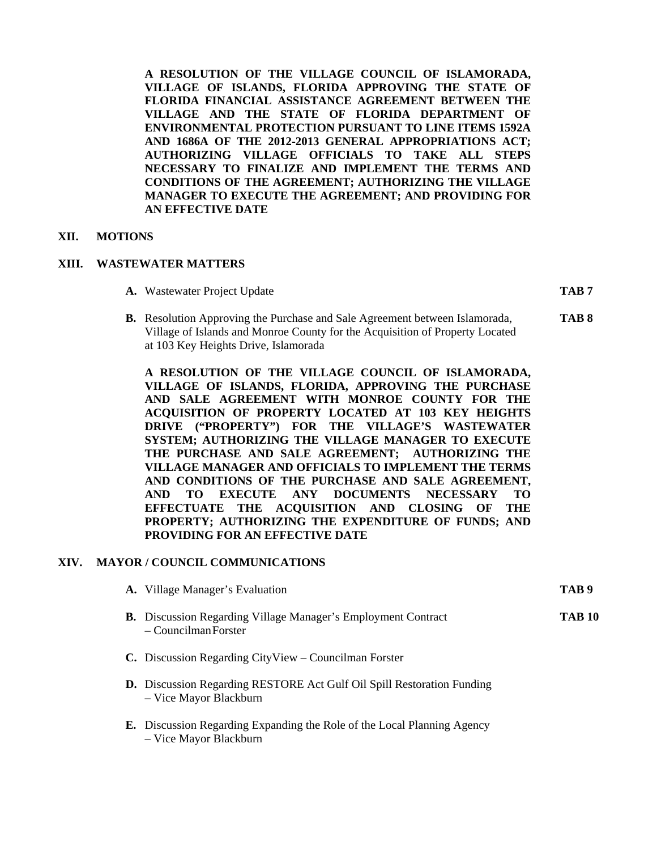**A RESOLUTION OF THE VILLAGE COUNCIL OF ISLAMORADA, VILLAGE OF ISLANDS, FLORIDA APPROVING THE STATE OF FLORIDA FINANCIAL ASSISTANCE AGREEMENT BETWEEN THE VILLAGE AND THE STATE OF FLORIDA DEPARTMENT OF ENVIRONMENTAL PROTECTION PURSUANT TO LINE ITEMS 1592A AND 1686A OF THE 2012-2013 GENERAL APPROPRIATIONS ACT; AUTHORIZING VILLAGE OFFICIALS TO TAKE ALL STEPS NECESSARY TO FINALIZE AND IMPLEMENT THE TERMS AND CONDITIONS OF THE AGREEMENT; AUTHORIZING THE VILLAGE MANAGER TO EXECUTE THE AGREEMENT; AND PROVIDING FOR AN EFFECTIVE DATE** 

#### **XII. MOTIONS**

#### **XIII. WASTEWATER MATTERS**

**A.** Wastewater Project Update **TAB 7** 

**B.** Resolution Approving the Purchase and Sale Agreement between Islamorada, **TAB 8** Village of Islands and Monroe County for the Acquisition of Property Located at 103 Key Heights Drive, Islamorada

**A RESOLUTION OF THE VILLAGE COUNCIL OF ISLAMORADA, VILLAGE OF ISLANDS, FLORIDA, APPROVING THE PURCHASE AND SALE AGREEMENT WITH MONROE COUNTY FOR THE ACQUISITION OF PROPERTY LOCATED AT 103 KEY HEIGHTS DRIVE ("PROPERTY") FOR THE VILLAGE'S WASTEWATER SYSTEM; AUTHORIZING THE VILLAGE MANAGER TO EXECUTE THE PURCHASE AND SALE AGREEMENT; AUTHORIZING THE VILLAGE MANAGER AND OFFICIALS TO IMPLEMENT THE TERMS AND CONDITIONS OF THE PURCHASE AND SALE AGREEMENT, AND TO EXECUTE ANY DOCUMENTS NECESSARY TO EFFECTUATE THE ACQUISITION AND CLOSING OF THE PROPERTY; AUTHORIZING THE EXPENDITURE OF FUNDS; AND PROVIDING FOR AN EFFECTIVE DATE** 

#### **XIV. MAYOR / COUNCIL COMMUNICATIONS**

| A. Village Manager's Evaluation                                                                          | TAB 9  |
|----------------------------------------------------------------------------------------------------------|--------|
| <b>B.</b> Discussion Regarding Village Manager's Employment Contract<br>– Councilman Forster             | TAB 10 |
| C. Discussion Regarding CityView – Councilman Forster                                                    |        |
| <b>D.</b> Discussion Regarding RESTORE Act Gulf Oil Spill Restoration Funding<br>- Vice Mayor Blackburn  |        |
| <b>E.</b> Discussion Regarding Expanding the Role of the Local Planning Agency<br>- Vice Mayor Blackburn |        |